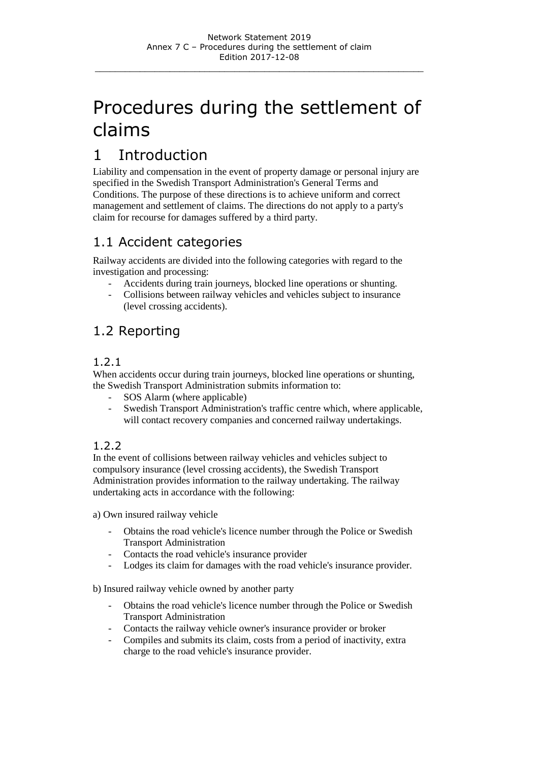# Procedures during the settlement of claims

# 1 Introduction

Liability and compensation in the event of property damage or personal injury are specified in the Swedish Transport Administration's General Terms and Conditions. The purpose of these directions is to achieve uniform and correct management and settlement of claims. The directions do not apply to a party's claim for recourse for damages suffered by a third party.

## 1.1 Accident categories

Railway accidents are divided into the following categories with regard to the investigation and processing:

- Accidents during train journeys, blocked line operations or shunting.
- Collisions between railway vehicles and vehicles subject to insurance (level crossing accidents).

# 1.2 Reporting

#### 1.2.1

When accidents occur during train journeys, blocked line operations or shunting, the Swedish Transport Administration submits information to:

- SOS Alarm (where applicable)
- Swedish Transport Administration's traffic centre which, where applicable, will contact recovery companies and concerned railway undertakings.

### 1.2.2

In the event of collisions between railway vehicles and vehicles subject to compulsory insurance (level crossing accidents), the Swedish Transport Administration provides information to the railway undertaking. The railway undertaking acts in accordance with the following:

a) Own insured railway vehicle

- Obtains the road vehicle's licence number through the Police or Swedish Transport Administration
- Contacts the road vehicle's insurance provider
- Lodges its claim for damages with the road vehicle's insurance provider.

b) Insured railway vehicle owned by another party

- Obtains the road vehicle's licence number through the Police or Swedish Transport Administration
- Contacts the railway vehicle owner's insurance provider or broker
- Compiles and submits its claim, costs from a period of inactivity, extra charge to the road vehicle's insurance provider.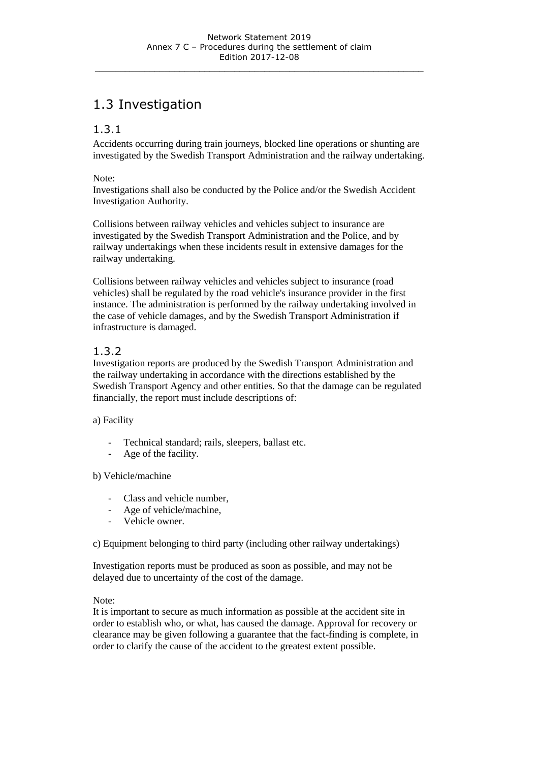# 1.3 Investigation

#### 1.3.1

Accidents occurring during train journeys, blocked line operations or shunting are investigated by the Swedish Transport Administration and the railway undertaking.

#### Note:

Investigations shall also be conducted by the Police and/or the Swedish Accident Investigation Authority.

Collisions between railway vehicles and vehicles subject to insurance are investigated by the Swedish Transport Administration and the Police, and by railway undertakings when these incidents result in extensive damages for the railway undertaking.

Collisions between railway vehicles and vehicles subject to insurance (road vehicles) shall be regulated by the road vehicle's insurance provider in the first instance. The administration is performed by the railway undertaking involved in the case of vehicle damages, and by the Swedish Transport Administration if infrastructure is damaged.

#### 1.3.2

Investigation reports are produced by the Swedish Transport Administration and the railway undertaking in accordance with the directions established by the Swedish Transport Agency and other entities. So that the damage can be regulated financially, the report must include descriptions of:

#### a) Facility

- Technical standard; rails, sleepers, ballast etc.
- Age of the facility.

#### b) Vehicle/machine

- Class and vehicle number,
- Age of vehicle/machine,
- Vehicle owner.

c) Equipment belonging to third party (including other railway undertakings)

Investigation reports must be produced as soon as possible, and may not be delayed due to uncertainty of the cost of the damage.

#### Note:

It is important to secure as much information as possible at the accident site in order to establish who, or what, has caused the damage. Approval for recovery or clearance may be given following a guarantee that the fact-finding is complete, in order to clarify the cause of the accident to the greatest extent possible.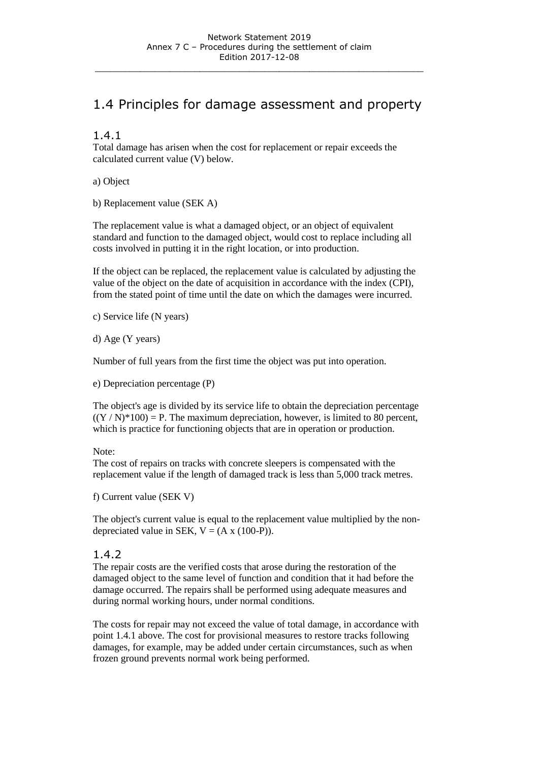# 1.4 Principles for damage assessment and property

#### 1.4.1

Total damage has arisen when the cost for replacement or repair exceeds the calculated current value (V) below.

a) Object

b) Replacement value (SEK A)

The replacement value is what a damaged object, or an object of equivalent standard and function to the damaged object, would cost to replace including all costs involved in putting it in the right location, or into production.

If the object can be replaced, the replacement value is calculated by adjusting the value of the object on the date of acquisition in accordance with the index (CPI), from the stated point of time until the date on which the damages were incurred.

c) Service life (N years)

d) Age (Y years)

Number of full years from the first time the object was put into operation.

e) Depreciation percentage (P)

The object's age is divided by its service life to obtain the depreciation percentage  $((Y/N)^*100) = P$ . The maximum depreciation, however, is limited to 80 percent, which is practice for functioning objects that are in operation or production.

#### Note:

The cost of repairs on tracks with concrete sleepers is compensated with the replacement value if the length of damaged track is less than 5,000 track metres.

f) Current value (SEK V)

The object's current value is equal to the replacement value multiplied by the nondepreciated value in SEK,  $V = (A \times (100-P))$ .

#### 1.4.2

The repair costs are the verified costs that arose during the restoration of the damaged object to the same level of function and condition that it had before the damage occurred. The repairs shall be performed using adequate measures and during normal working hours, under normal conditions.

The costs for repair may not exceed the value of total damage, in accordance with point 1.4.1 above. The cost for provisional measures to restore tracks following damages, for example, may be added under certain circumstances, such as when frozen ground prevents normal work being performed.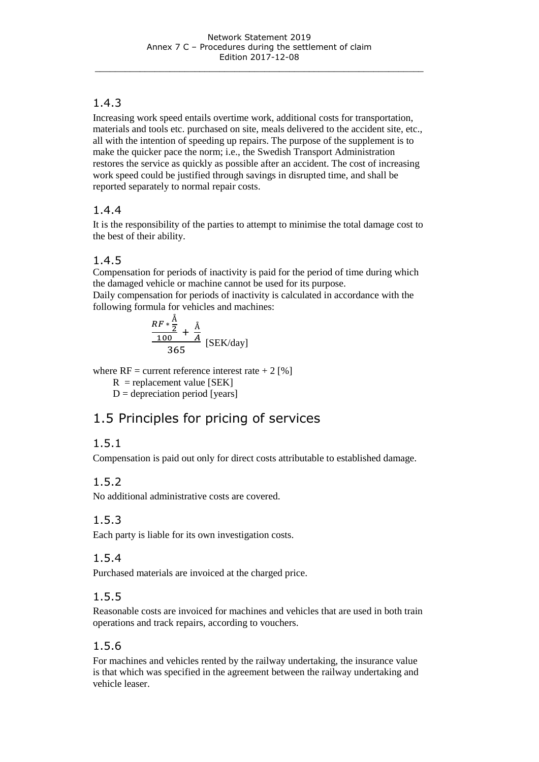### 1.4.3

Increasing work speed entails overtime work, additional costs for transportation, materials and tools etc. purchased on site, meals delivered to the accident site, etc., all with the intention of speeding up repairs. The purpose of the supplement is to make the quicker pace the norm; i.e., the Swedish Transport Administration restores the service as quickly as possible after an accident. The cost of increasing work speed could be justified through savings in disrupted time, and shall be reported separately to normal repair costs.

### 1.4.4

It is the responsibility of the parties to attempt to minimise the total damage cost to the best of their ability.

### 1.4.5

Compensation for periods of inactivity is paid for the period of time during which the damaged vehicle or machine cannot be used for its purpose.

Daily compensation for periods of inactivity is calculated in accordance with the following formula for vehicles and machines:

$$
\frac{RF*\frac{\text{Å}}{2}}{365} + \frac{\text{Å}}{A} \text{ [SEK/day]}
$$

where  $RF =$  current reference interest rate  $+ 2 [%]$ 

 $R$  = replacement value [SEK]

 $D =$  depreciation period [years]

# 1.5 Principles for pricing of services

### 1.5.1

Compensation is paid out only for direct costs attributable to established damage.

### 1.5.2

No additional administrative costs are covered.

### 1.5.3

Each party is liable for its own investigation costs.

### 1.5.4

Purchased materials are invoiced at the charged price.

### 1.5.5

Reasonable costs are invoiced for machines and vehicles that are used in both train operations and track repairs, according to vouchers.

### 1.5.6

For machines and vehicles rented by the railway undertaking, the insurance value is that which was specified in the agreement between the railway undertaking and vehicle leaser.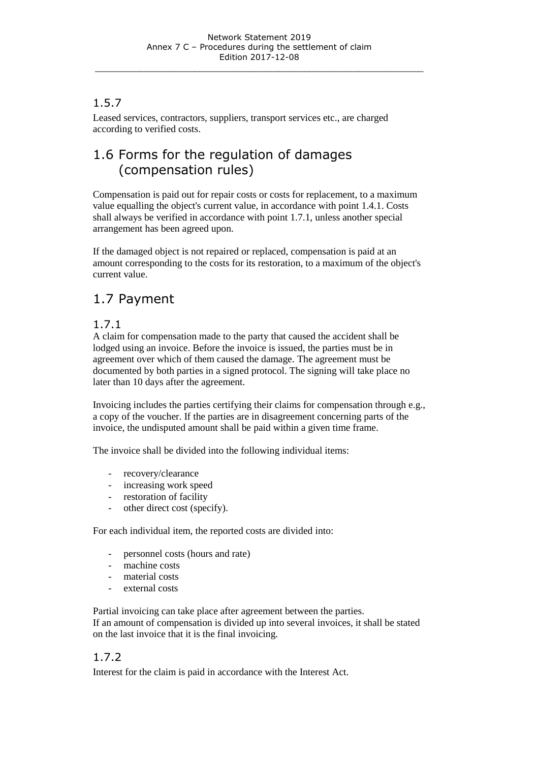### 1.5.7

Leased services, contractors, suppliers, transport services etc., are charged according to verified costs.

# 1.6 Forms for the regulation of damages (compensation rules)

Compensation is paid out for repair costs or costs for replacement, to a maximum value equalling the object's current value, in accordance with point 1.4.1. Costs shall always be verified in accordance with point 1.7.1, unless another special arrangement has been agreed upon.

If the damaged object is not repaired or replaced, compensation is paid at an amount corresponding to the costs for its restoration, to a maximum of the object's current value.

# 1.7 Payment

#### 1.7.1

A claim for compensation made to the party that caused the accident shall be lodged using an invoice. Before the invoice is issued, the parties must be in agreement over which of them caused the damage. The agreement must be documented by both parties in a signed protocol. The signing will take place no later than 10 days after the agreement.

Invoicing includes the parties certifying their claims for compensation through e.g., a copy of the voucher. If the parties are in disagreement concerning parts of the invoice, the undisputed amount shall be paid within a given time frame.

The invoice shall be divided into the following individual items:

- recovery/clearance
- increasing work speed
- restoration of facility
- other direct cost (specify).

For each individual item, the reported costs are divided into:

- personnel costs (hours and rate)
- machine costs
- material costs
- external costs

Partial invoicing can take place after agreement between the parties.

If an amount of compensation is divided up into several invoices, it shall be stated on the last invoice that it is the final invoicing.

### 1.7.2

Interest for the claim is paid in accordance with the Interest Act.